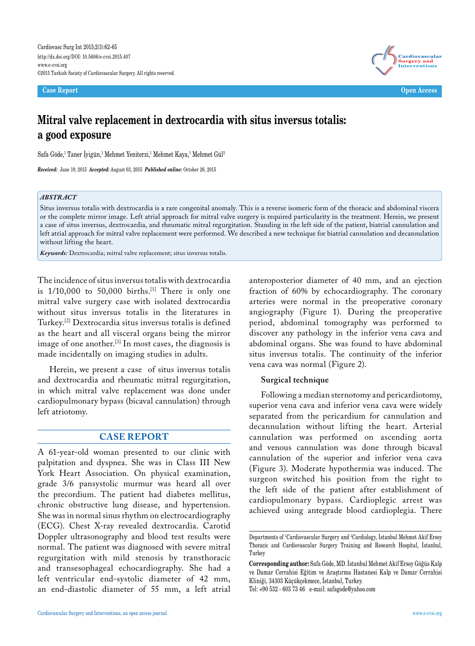**Case Report Open Access**



# **Mitral valve replacement in dextrocardia with situs inversus totalis: a good exposure**

Safa Göde,<sup>1</sup> Taner Iyigün,<sup>1</sup> Mehmet Yeniterzi,<sup>1</sup> Mehmet Kaya,<sup>1</sup> Mehmet Gül<sup>2</sup>

*Received:* June 19, 2015 *Accepted:* August 03, 2015 *Published online:* October 26, 2015

#### *ABSTRACT*

Situs inversus totalis with dextrocardia is a rare congenital anomaly. This is a reverse isomeric form of the thoracic and abdominal viscera or the complete mirror image. Left atrial approach for mitral valve surgery is required particularity in the treatment. Herein, we present a case of situs inversus, dextrocardia, and rheumatic mitral regurgitation. Standing in the left side of the patient, biatrial cannulation and left atrial approach for mitral valve replacement were performed. We described a new technique for biatrial cannulation and decannulation without lifting the heart.

*Keywords:* Dextrocardia; mitral valve replacement; situs inversus totalis.

The incidence of situs inversus totalis with dextrocardia is  $1/10,000$  to  $50,000$  births.<sup>[1]</sup> There is only one mitral valve surgery case with isolated dextrocardia without situs inversus totalis in the literatures in Turkey.[2] Dextrocardia situs inversus totalis is defined as the heart and all visceral organs being the mirror image of one another.[3] In most cases, the diagnosis is made incidentally on imaging studies in adults.

Herein, we present a case of situs inversus totalis and dextrocardia and rheumatic mitral regurgitation, in which mitral valve replacement was done under cardiopulmonary bypass (bicaval cannulation) through left atriotomy.

## **CASE REPORT**

A 61-year-old woman presented to our clinic with palpitation and dyspnea. She was in Class III New York Heart Association. On physical examination, grade 3/6 pansystolic murmur was heard all over the precordium. The patient had diabetes mellitus, chronic obstructive lung disease, and hypertension. She was in normal sinus rhythm on electrocardiography (ECG). Chest X-ray revealed dextrocardia. Carotid Doppler ultrasonography and blood test results were normal. The patient was diagnosed with severe mitral regurgitation with mild stenosis by transthoracic and transesophageal echocardiography. She had a left ventricular end-systolic diameter of 42 mm, an end-diastolic diameter of 55 mm, a left atrial

anteroposterior diameter of 40 mm, and an ejection fraction of 60% by echocardiography. The coronary arteries were normal in the preoperative coronary angiography (Figure 1). During the preoperative period, abdominal tomography was performed to discover any pathology in the inferior vena cava and abdominal organs. She was found to have abdominal situs inversus totalis. The continuity of the inferior vena cava was normal (Figure 2).

### **Surgical technique**

Following a median sternotomy and pericardiotomy, superior vena cava and inferior vena cava were widely separated from the pericardium for cannulation and decannulation without lifting the heart. Arterial cannulation was performed on ascending aorta and venous cannulation was done through bicaval cannulation of the superior and inferior vena cava (Figure 3). Moderate hypothermia was induced. The surgeon switched his position from the right to the left side of the patient after establishment of cardiopulmonary bypass. Cardioplegic arrest was achieved using antegrade blood cardioplegia. There

Departments of 1 Cardiovascular Surgery and 2 Cardiology, İstanbul Mehmet Akif Ersoy Thoracic and Cardiovascular Surgery Training and Research Hospital, İstanbul, Turkey

**Corresponding author:** Safa Göde, MD. İstanbul Mehmet Akif Ersoy Göğüs Kalp ve Damar Cerrahisi Eğitim ve Araştırma Hastanesi Kalp ve Damar Cerrahisi Kliniği, 34303 Küçükçekmece, İstanbul, Turkey. Tel: +90 532 - 603 73 46 e-mail: safagode@yahoo.com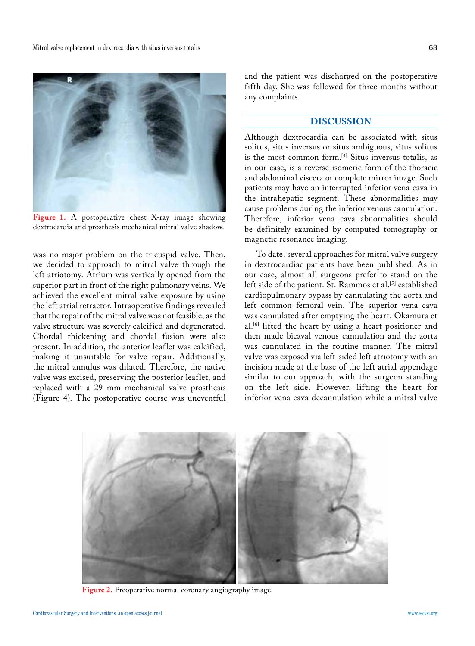

**Figure 1.** A postoperative chest X-ray image showing dextrocardia and prosthesis mechanical mitral valve shadow.

was no major problem on the tricuspid valve. Then, we decided to approach to mitral valve through the left atriotomy. Atrium was vertically opened from the superior part in front of the right pulmonary veins. We achieved the excellent mitral valve exposure by using the left atrial retractor. Intraoperative findings revealed that the repair of the mitral valve was not feasible, as the valve structure was severely calcified and degenerated. Chordal thickening and chordal fusion were also present. In addition, the anterior leaflet was calcified, making it unsuitable for valve repair. Additionally, the mitral annulus was dilated. Therefore, the native valve was excised, preserving the posterior leaflet, and replaced with a 29 mm mechanical valve prosthesis (Figure 4). The postoperative course was uneventful

and the patient was discharged on the postoperative fifth day. She was followed for three months without any complaints.

## **DISCUSSION**

Although dextrocardia can be associated with situs solitus, situs inversus or situs ambiguous, situs solitus is the most common form.[4] Situs inversus totalis, as in our case, is a reverse isomeric form of the thoracic and abdominal viscera or complete mirror image. Such patients may have an interrupted inferior vena cava in the intrahepatic segment. These abnormalities may cause problems during the inferior venous cannulation. Therefore, inferior vena cava abnormalities should be definitely examined by computed tomography or magnetic resonance imaging.

To date, several approaches for mitral valve surgery in dextrocardiac patients have been published. As in our case, almost all surgeons prefer to stand on the left side of the patient. St. Rammos et al.<sup>[5]</sup> established cardiopulmonary bypass by cannulating the aorta and left common femoral vein. The superior vena cava was cannulated after emptying the heart. Okamura et al.<sup>[6]</sup> lifted the heart by using a heart positioner and then made bicaval venous cannulation and the aorta was cannulated in the routine manner. The mitral valve was exposed via left-sided left atriotomy with an incision made at the base of the left atrial appendage similar to our approach, with the surgeon standing on the left side. However, lifting the heart for inferior vena cava decannulation while a mitral valve



**Figure 2.** Preoperative normal coronary angiography image.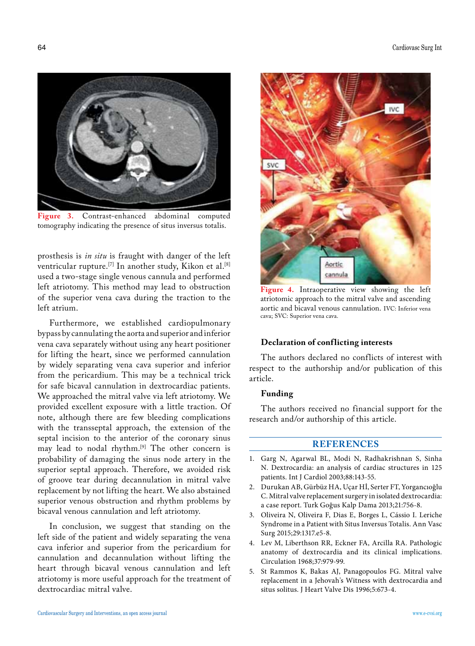

**Figure 3.** Contrast-enhanced abdominal computed tomography indicating the presence of situs inversus totalis.

prosthesis is *in situ* is fraught with danger of the left ventricular rupture.<sup>[7]</sup> In another study, Kikon et al.<sup>[8]</sup> used a two-stage single venous cannula and performed left atriotomy. This method may lead to obstruction of the superior vena cava during the traction to the left atrium.

Furthermore, we established cardiopulmonary bypass by cannulating the aorta and superior and inferior vena cava separately without using any heart positioner for lifting the heart, since we performed cannulation by widely separating vena cava superior and inferior from the pericardium. This may be a technical trick for safe bicaval cannulation in dextrocardiac patients. We approached the mitral valve via left atriotomy. We provided excellent exposure with a little traction. Of note, although there are few bleeding complications with the transseptal approach, the extension of the septal incision to the anterior of the coronary sinus may lead to nodal rhythm.<sup>[9]</sup> The other concern is probability of damaging the sinus node artery in the superior septal approach. Therefore, we avoided risk of groove tear during decannulation in mitral valve replacement by not lifting the heart. We also abstained superior venous obstruction and rhythm problems by bicaval venous cannulation and left atriotomy.

In conclusion, we suggest that standing on the left side of the patient and widely separating the vena cava inferior and superior from the pericardium for cannulation and decannulation without lifting the heart through bicaval venous cannulation and left atriotomy is more useful approach for the treatment of dextrocardiac mitral valve.



**Figure 4.** Intraoperative view showing the left atriotomic approach to the mitral valve and ascending aortic and bicaval venous cannulation. IVC: Inferior vena cava; SVC: Superior vena cava.

#### **Declaration of conf licting interests**

The authors declared no conflicts of interest with respect to the authorship and/or publication of this article.

#### **Funding**

The authors received no financial support for the research and/or authorship of this article.

## **REFERENCES**

- 1. Garg N, Agarwal BL, Modi N, Radhakrishnan S, Sinha N. Dextrocardia: an analysis of cardiac structures in 125 patients. Int J Cardiol 2003;88:143-55.
- 2. Durukan AB, Gürbüz HA, Uçar Hİ, Serter FT, Yorgancıoğlu C. Mitral valve replacement surgery in isolated dextrocardia: a case report. Turk Goğus Kalp Dama 2013;21:756-8.
- 3. Oliveira N, Oliveira F, Dias E, Borges L, Cássio I. Leriche Syndrome in a Patient with Situs Inversus Totalis. Ann Vasc Surg 2015;29:1317.e5-8.
- 4. Lev M, Liberthson RR, Eckner FA, Arcilla RA. Pathologic anatomy of dextrocardia and its clinical implications. Circulation 1968;37:979-99.
- 5. St Rammos K, Bakas AJ, Panagopoulos FG. Mitral valve replacement in a Jehovah's Witness with dextrocardia and situs solitus. J Heart Valve Dis 1996;5:673-4.